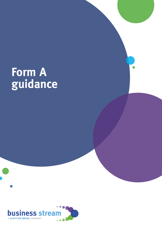# **Form A guidance**

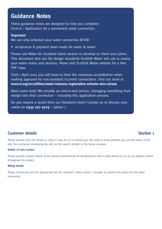# **Guidance Notes**

These guidance notes are designed to help you complete: Form A – Application for a permanent water connection.

## **Important**

We can only schedule your water connection AFTER:

• acceptance & payment been made for water & sewer

Please use Water for Scotland latest version to develop or check your plans. This document sets out the design standards Scottish Water will use to assess your water mains and services. Pease visit Scottish Water website for a free PDF copy.

From 1 April 2013 you will have to have the necessary accreditation when seeking approval for non-standard (>32mm) connections. Find out more at **[www.lr.org/en/utilities/water-industry-registration-scheme-wirs-wirsae](http://www.lr.org/en/utilities/water-industry-registration-scheme-wirs-wirsae)**

Need some help? We provide an end-to-end service, managing everything from design toto final connection – including this application process.

Do you require a quote from our Solution's team? Contact us to discuss your needs on **0333 207 9703** – option 1

# **Customer details Section 1**

Please provide your full details to make it easy for us to contact you. We need to know whether you are the owner of the site, the contractor developing the site on the owner's behalf, or the future occupier.

## **Details of main contact**

Please provide contact details of any person coordinating the development, who is best placed to act as our regular contact throughout the project.

### **Billing details**

Please ensure you tick the appropriate box for customer / main contact / occupier to receive the invoice for the water connection.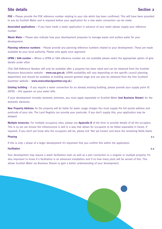## **Site details Section 2**

**PDE –** Please provide the PDE reference number relating to your site which has been confirmed. This will have been provided to you by Scottish Water and is required before your application for a new water connection can be made.

**Associated applications –** If you have made a sewer application in advance of your water please supply your reference number

**Waste Water –** Please also indicate how your development proposes to manage waste and surface water for your development.

**Planning reference numbers** – Please provide any planning reference numbers related to your development. These are made available by your local authority. Please only apply once approved.

**UPRN / SAA number –** Where a UPRN or SAA reference number are not available please select the appropriate option of give details under other

(The SAA Reference Number will only be available after a property has been rated and can be obtained from the Scottish Assessors Association website – **[www.saa.gov.uk](http://www.saa.gov.uk)**. UPRN availability will vary depending on the specific council planning department and should be available at building warrant granted stage and can also be obtained from the One Scotland Gazetteer website – **[www.onescotlandgazetteer.org.uk](http://www.onescotlandgazetteer.org.uk)**.)

**Existing building** – If you require a water connection for an already existing building, please provide your supply point ID (SPID) – this appears on your water bills.

If your development includes domestic premises, you must apply separately to Scottish Water **(not Business Stream**) for the domestic elements.

**New Property Address:** As the property will be liable for water usage charges You must supply the full postal address and postcode of your site. The Land Registry can provide your postcode. If you don't supply this, your application may be delayed.

**Multiple tenancies**: For multiple occupancy sites, please use **Appendix B** of the form to provide details of all the occupiers. This is so we can ensure the infrastructure is laid in a way that allows for occupants to be billed separately in future, if required. If you don't yet know who the occupants will be, please tick 'Not yet known' and leave the remaining fields blank.

### **Phasing 2.1**

If this is only 1 phase of a larger development it's important that you confirm this within the application.

#### **Facilitation 2.2**

Your development may require a water facilitation main as well as a plot connection to a singular or multiple property. It's also important to know if a facilitation is an advanced installation and if so how many plots will be served of this. This allows Scottish Water via Business Stream to gain a better understanding of your development.

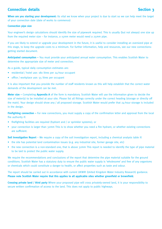## **Connection details Section 3**

**When are you starting your development:** Its vital we know when your project is due to start so we can help meet the target of your connection date (date of works to commence)

#### **Connection pipe size**

Your engineer's design calculations should identify the size of pipework required. This is usually (but not always) one size up from the required meter size – for instance, a 15mm meter would need a 25mm pipe.

If you are likely to extend or upgrade your development in the future, it is useful to consider installing an oversized pipe at this stage, to keep the upgrade costs to a minimum. For further information, help and resources, see our new connections: getting started document.

**Anticipated consumption –** You must provide your anticipated annual water consumption. This enables Scottish Water to determine the appropriate size of meter and connection.

As a guide, typical daily consumption estimates are:

- residential / hotel use: 180 litres per 24-hour occupant
- office / workplace use: 55 litres per occupant

It is also important that you provide the number of staff residents known as this will help establish that the correct water demands of the development can be met.

**Meter size –** Completing **Appendix A** of the form is mandatory. Scottish Water will use the information given to decide the size of meter(s) to be installed at your site. Please list all fittings correctly under the correct heading (storage or directly off the main). Your design should show any / all proposed storage. Scottish Water would prefer that 24-hour storage is included in the design.

**Firefighting connection –** For new connections, you must supply a copy of the confirmation letter and approval from the local fire authority if:

- firefighting facilities are required (hydrant and / or sprinkler systems); or
- your connection is larger than 32mm This is to show whether you need a fire hydrant, or whether existing connections are sufficient.

**Soil Investigation Report** – We require a copy of the soil investigation report, including a chemical analysis table if:

- the site has potential land contamination issues (e.g. any industrial site, former garage site, etc)
- the new connection is a non-standard one, that is above 32mm This report is needed to identify the type of pipe material to be laid to protect the public water supply.

We require the recommendations and conclusions of the report that determine the pipe material suitable for the ground conditions. Scottish Water has a statutory duty to ensure the public water supply is 'wholesome' and free of any organisms or chemicals which could constitute a danger to health, or affect properties such as taste and odour.

The report should be carried out in accordance with current UKWIR (United Kingdom Water Industry Research) guidance. **Please note Scottish Water require that this applies to all applicable sites whether greenfield or brownfield.**

**Crossing private land / third party** Where your proposed pipe will cross privately-owned land, it is your responsibility to secure written confirmation of access to the land. This does not apply to public highways.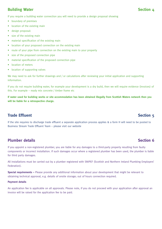## **Building Water Section 4**

If you require a building water connection you will need to provide a design proposal showing

- boundary of premises
- location of the existing main
- design proposal:
- size of the existing main
- material specification of the existing main
- location of your proposed connection on the existing main
- route of your pipe from connection on the existing main to your property
- size of the proposed connection pipe
- material specification of the proposed connection pipe
- location of meters
- location of supporting valves

We may need to ask for further drawings and / or calculations after reviewing your initial application and supporting information.

If you do not require building water, for example your development is a dry build, then we will require evidence (invoices) of this. For example – ready mix concrete / timber frame etc

**If water used for building works or site accommodation has been obtained illegally from Scottish Waters network then you will be liable for a retrospective charge.**

## **Trade Effluent Section 5**

If the site requires to discharge trade effluent a separate application process applies & a form H will need to be posted to Business Stream Trade Effluent Team – please visit our website

## **Plumber details Section 6**

If you appoint a non-registered plumber, you are liable for any damages to a third-party property resulting from faulty components or incorrect installation. If such damages occur where a registered plumber has been used, the plumber is liable for third party damages.

All installations must be carried out by a plumber registered with SNIPEF (Scottish and Northern Ireland Plumbing Employers' Federation).

**Special requirements –** Please provide any additional information about your development that might be relevant to obtaining technical approval, e.g. details of onsite storage; out of hours connection required.

### **Payment details**

An application fee is applicable on all approvals. Please note, if you do not proceed with your application after approval an invoice will be raised for the application fee to be paid.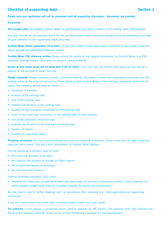## **Checklist of supporting data Section 7**

## **Please note your application will not be processed until all supporting information / documents are provided.**

#### **Documents**

**Site location plan** This enables Scottish Water to quickly locate your site in relation to its existing water infrastructure.

Your plan should set out precisely where the site is. Show street names, existing buildings and other landmarks. A 12-digit OS grid reference or GIS coordinates would also help.

**Scottish Water Sewer application ref number –** If you have made a sewer application in advance of your water connection please provide the application reference number

**Scottish Water PDE reference number** Please submit the results of any capacity assessment by Scottish Water (e.g. PDE response, drainage impact assessment or relevant correspondence).

**Details of how waste water will be dealt with if not by sewer** – It is vital that you confirm what steps you are taking in relation to the disposal of water from site

**Design proposals** Design proposals include a technical drawing. This needs to show every individual connection from the existing mains to the point of connection. These details enable Scottish Water to find the best connection point from its mains. The following details must be shown:

- boundary of premises
- location of the existing main
- size of the existing main
- material specification of the existing main
- location of your proposed connection on the existing main
- route of your pipe from connection on the existing main to your property
- size of the proposed connection pipe
- material specification of the proposed connection pipe
- location of meters
- location of supporting valves

**Plumbing schematics** You must provide internal and external plumbing schematics. These ensure that the right protection measures are in place. They are a strict requirement of Scottish Water byelaws.

Internal plumbing schematics need to show:

- the route and diameter of all pipes
- the capacity and position of storage and feed cisterns
- the location and details of all fittings
- hot and cold-water services

External plumbing schematics must show:

• minimum of a stop-cock, double-check valve and drain valve on the main at the point of entry in every building. Fire mains require a single check valve in a suitable chamber for access and maintenance.

We may need to ask for further drawings and / or calculations after reviewing your initial application and supporting information.

If you are unsure where your water main is located please contact your case owner.

Fire authority – if you require a connection above 32mm in diameter we will require a fire authority letter. This confirms that the local fire authority approves of the current or new firefighting provisions for your development.